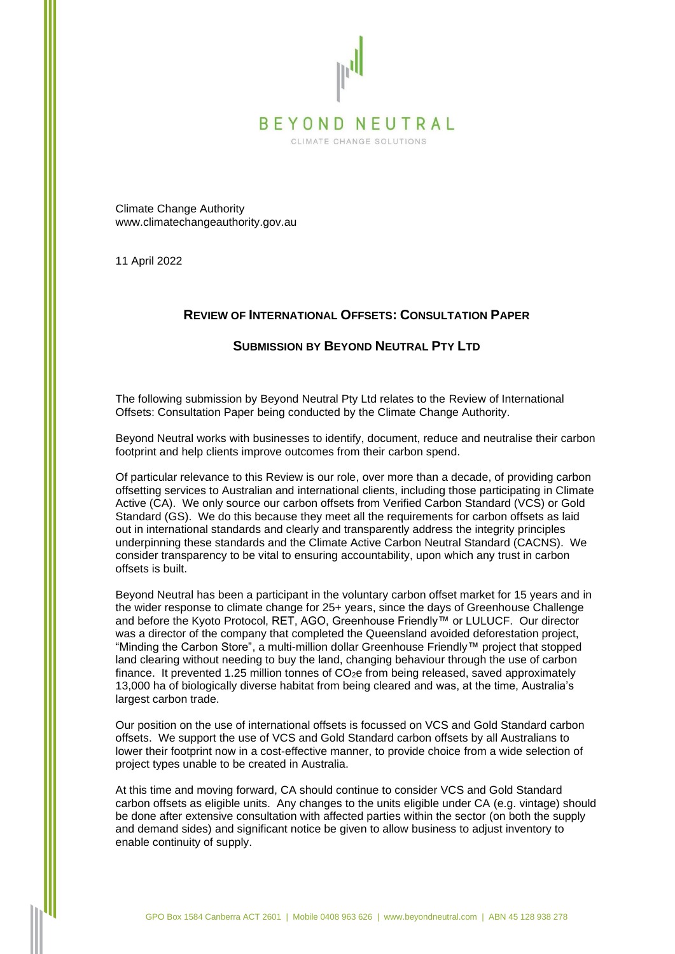

CLIMATE CHANGE SOLUTIONS

Climate Change Authority www.climatechangeauthority.gov.au

11 April 2022

# **REVIEW OF INTERNATIONAL OFFSETS: CONSULTATION PAPER**

# **SUBMISSION BY BEYOND NEUTRAL PTY LTD**

The following submission by Beyond Neutral Pty Ltd relates to the Review of International Offsets: Consultation Paper being conducted by the Climate Change Authority.

Beyond Neutral works with businesses to identify, document, reduce and neutralise their carbon footprint and help clients improve outcomes from their carbon spend.

Of particular relevance to this Review is our role, over more than a decade, of providing carbon offsetting services to Australian and international clients, including those participating in Climate Active (CA). We only source our carbon offsets from Verified Carbon Standard (VCS) or Gold Standard (GS). We do this because they meet all the requirements for carbon offsets as laid out in international standards and clearly and transparently address the integrity principles underpinning these standards and the Climate Active Carbon Neutral Standard (CACNS). We consider transparency to be vital to ensuring accountability, upon which any trust in carbon offsets is built.

Beyond Neutral has been a participant in the voluntary carbon offset market for 15 years and in the wider response to climate change for 25+ years, since the days of Greenhouse Challenge and before the Kyoto Protocol, RET, AGO, Greenhouse Friendly™ or LULUCF. Our director was a director of the company that completed the Queensland avoided deforestation project, "Minding the Carbon Store", a multi-million dollar Greenhouse Friendly™ project that stopped land clearing without needing to buy the land, changing behaviour through the use of carbon finance. It prevented 1.25 million tonnes of  $CO<sub>2</sub>e$  from being released, saved approximately 13,000 ha of biologically diverse habitat from being cleared and was, at the time, Australia's largest carbon trade.

Our position on the use of international offsets is focussed on VCS and Gold Standard carbon offsets. We support the use of VCS and Gold Standard carbon offsets by all Australians to lower their footprint now in a cost-effective manner, to provide choice from a wide selection of project types unable to be created in Australia.

At this time and moving forward, CA should continue to consider VCS and Gold Standard carbon offsets as eligible units. Any changes to the units eligible under CA (e.g. vintage) should be done after extensive consultation with affected parties within the sector (on both the supply and demand sides) and significant notice be given to allow business to adjust inventory to enable continuity of supply.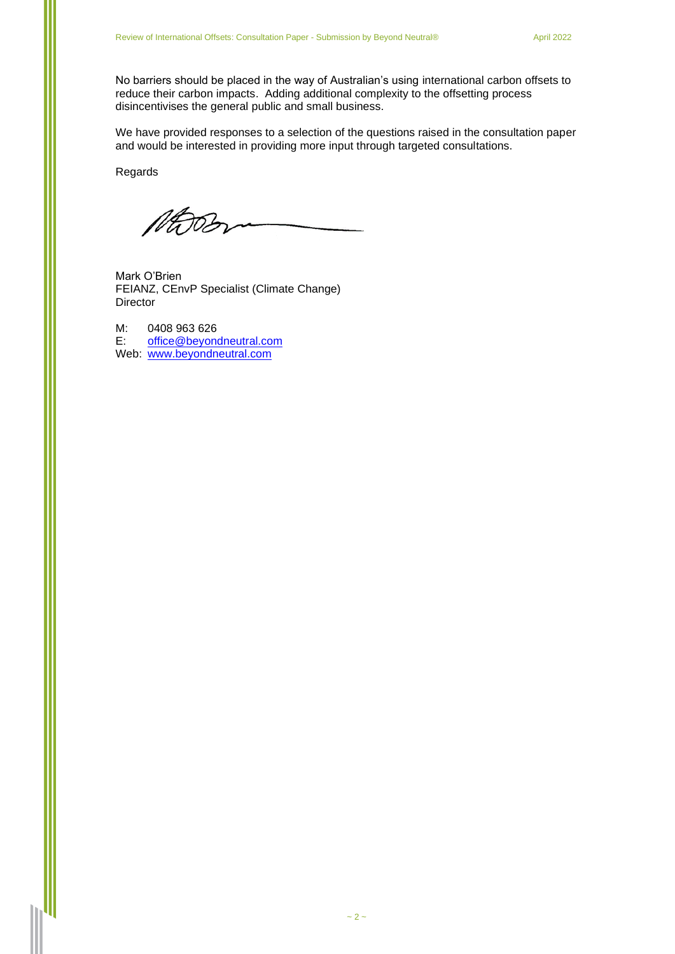No barriers should be placed in the way of Australian's using international carbon offsets to reduce their carbon impacts. Adding additional complexity to the offsetting process disincentivises the general public and small business.

We have provided responses to a selection of the questions raised in the consultation paper and would be interested in providing more input through targeted consultations.

Regards

MOOD

Mark O'Brien FEIANZ, CEnvP Specialist (Climate Change) **Director** 

M: 0408 963 626<br>E: office@bevone [office@beyondneutral.com](mailto:office@beyondneutral.com) Web: [www.beyondneutral.com](http://www.beyondneutral.com/)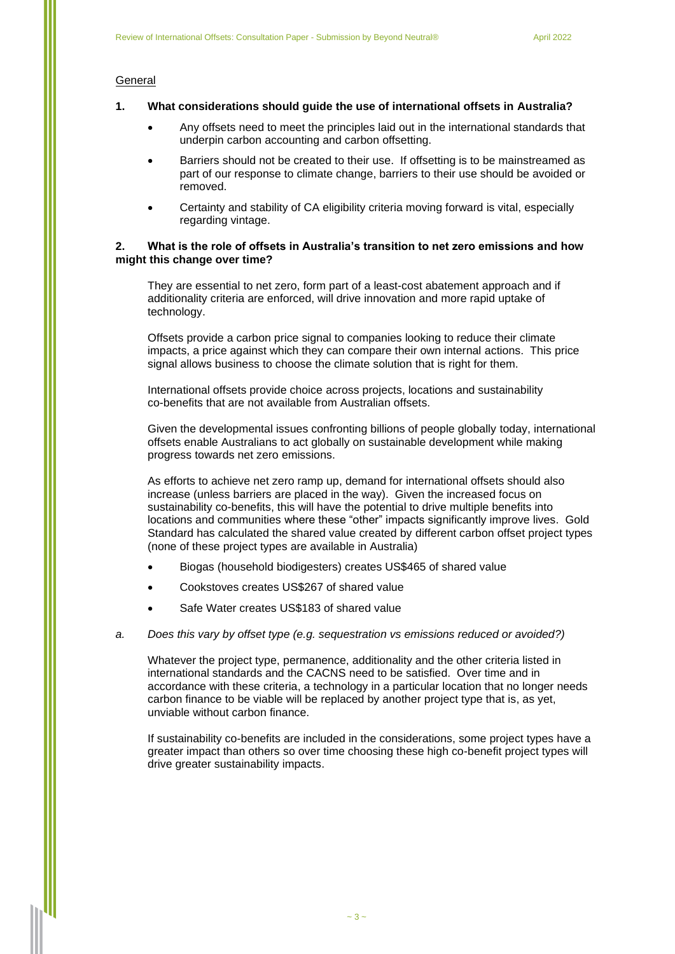# **General**

# **1. What considerations should guide the use of international offsets in Australia?**

- Any offsets need to meet the principles laid out in the international standards that underpin carbon accounting and carbon offsetting.
- Barriers should not be created to their use. If offsetting is to be mainstreamed as part of our response to climate change, barriers to their use should be avoided or removed.
- Certainty and stability of CA eligibility criteria moving forward is vital, especially regarding vintage.

### **2. What is the role of offsets in Australia's transition to net zero emissions and how might this change over time?**

They are essential to net zero, form part of a least-cost abatement approach and if additionality criteria are enforced, will drive innovation and more rapid uptake of technology.

Offsets provide a carbon price signal to companies looking to reduce their climate impacts, a price against which they can compare their own internal actions. This price signal allows business to choose the climate solution that is right for them.

International offsets provide choice across projects, locations and sustainability co-benefits that are not available from Australian offsets.

Given the developmental issues confronting billions of people globally today, international offsets enable Australians to act globally on sustainable development while making progress towards net zero emissions.

As efforts to achieve net zero ramp up, demand for international offsets should also increase (unless barriers are placed in the way). Given the increased focus on sustainability co-benefits, this will have the potential to drive multiple benefits into locations and communities where these "other" impacts significantly improve lives. Gold Standard has calculated the shared value created by different carbon offset project types (none of these project types are available in Australia)

- Biogas (household biodigesters) creates US\$465 of shared value
- Cookstoves creates US\$267 of shared value
- Safe Water creates US\$183 of shared value

### *a. Does this vary by offset type (e.g. sequestration vs emissions reduced or avoided?)*

Whatever the project type, permanence, additionality and the other criteria listed in international standards and the CACNS need to be satisfied. Over time and in accordance with these criteria, a technology in a particular location that no longer needs carbon finance to be viable will be replaced by another project type that is, as yet, unviable without carbon finance.

If sustainability co-benefits are included in the considerations, some project types have a greater impact than others so over time choosing these high co-benefit project types will drive greater sustainability impacts.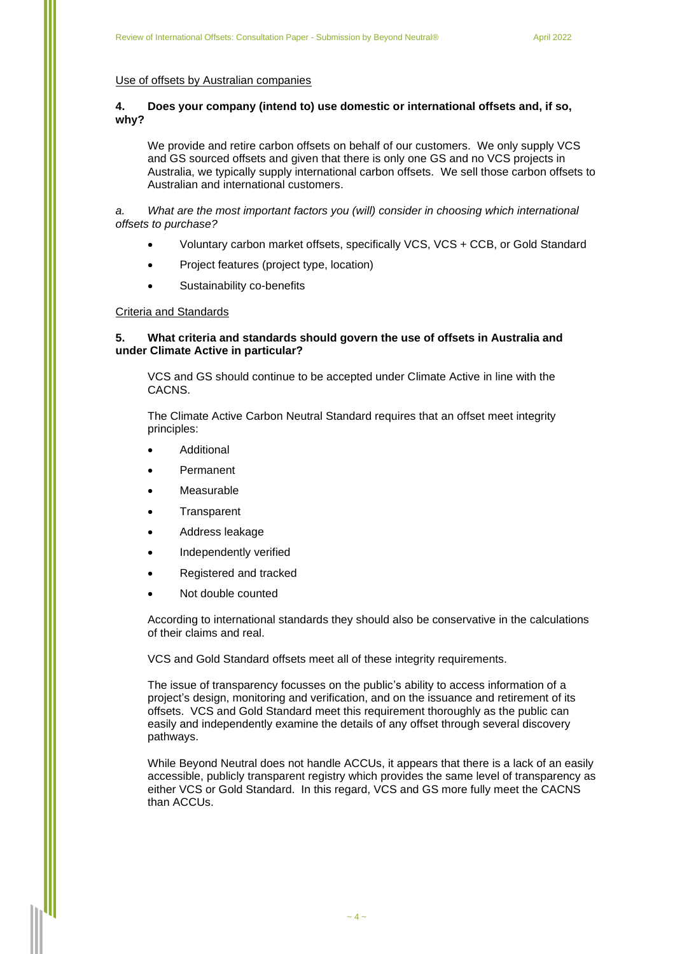### Use of offsets by Australian companies

# **4. Does your company (intend to) use domestic or international offsets and, if so, why?**

We provide and retire carbon offsets on behalf of our customers. We only supply VCS and GS sourced offsets and given that there is only one GS and no VCS projects in Australia, we typically supply international carbon offsets. We sell those carbon offsets to Australian and international customers.

*a. What are the most important factors you (will) consider in choosing which international offsets to purchase?*

- Voluntary carbon market offsets, specifically VCS, VCS + CCB, or Gold Standard
- Project features (project type, location)
- Sustainability co-benefits

### Criteria and Standards

# **5. What criteria and standards should govern the use of offsets in Australia and under Climate Active in particular?**

VCS and GS should continue to be accepted under Climate Active in line with the CACNS.

The Climate Active Carbon Neutral Standard requires that an offset meet integrity principles:

- **Additional**
- **Permanent**
- **Measurable**
- **Transparent**
- Address leakage
- Independently verified
- Registered and tracked
- Not double counted

According to international standards they should also be conservative in the calculations of their claims and real.

VCS and Gold Standard offsets meet all of these integrity requirements.

The issue of transparency focusses on the public's ability to access information of a project's design, monitoring and verification, and on the issuance and retirement of its offsets. VCS and Gold Standard meet this requirement thoroughly as the public can easily and independently examine the details of any offset through several discovery pathways.

While Beyond Neutral does not handle ACCUs, it appears that there is a lack of an easily accessible, publicly transparent registry which provides the same level of transparency as either VCS or Gold Standard. In this regard, VCS and GS more fully meet the CACNS than ACCUs.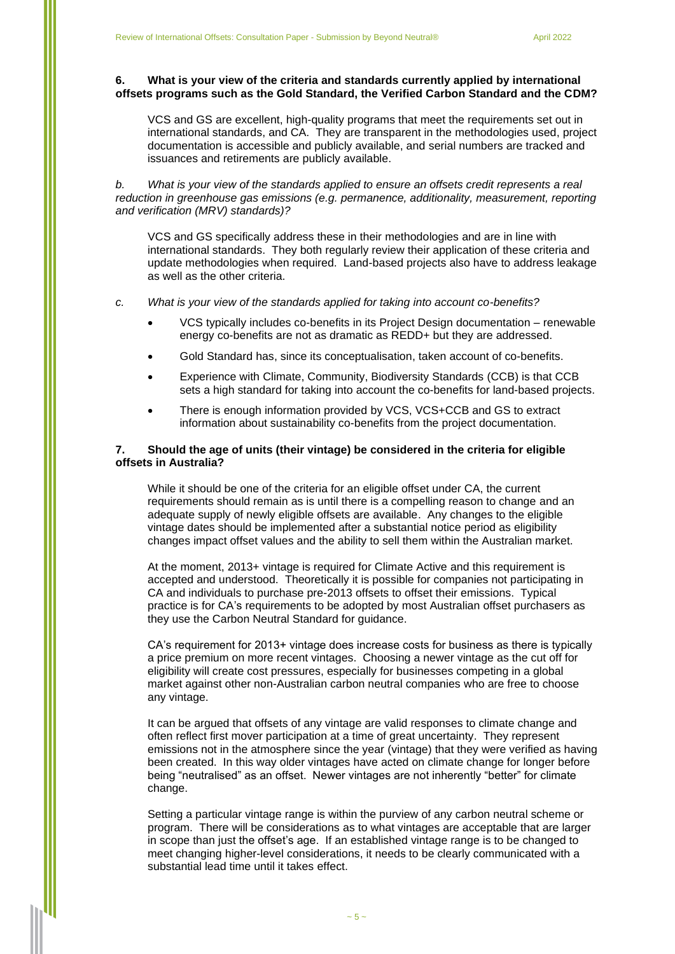# **6. What is your view of the criteria and standards currently applied by international offsets programs such as the Gold Standard, the Verified Carbon Standard and the CDM?**

VCS and GS are excellent, high-quality programs that meet the requirements set out in international standards, and CA. They are transparent in the methodologies used, project documentation is accessible and publicly available, and serial numbers are tracked and issuances and retirements are publicly available.

*b. What is your view of the standards applied to ensure an offsets credit represents a real reduction in greenhouse gas emissions (e.g. permanence, additionality, measurement, reporting and verification (MRV) standards)?*

VCS and GS specifically address these in their methodologies and are in line with international standards. They both regularly review their application of these criteria and update methodologies when required. Land-based projects also have to address leakage as well as the other criteria.

#### *c. What is your view of the standards applied for taking into account co-benefits?*

- VCS typically includes co-benefits in its Project Design documentation renewable energy co-benefits are not as dramatic as REDD+ but they are addressed.
- Gold Standard has, since its conceptualisation, taken account of co-benefits.
- Experience with Climate, Community, Biodiversity Standards (CCB) is that CCB sets a high standard for taking into account the co-benefits for land-based projects.
- There is enough information provided by VCS, VCS+CCB and GS to extract information about sustainability co-benefits from the project documentation.

## **7. Should the age of units (their vintage) be considered in the criteria for eligible offsets in Australia?**

While it should be one of the criteria for an eligible offset under CA, the current requirements should remain as is until there is a compelling reason to change and an adequate supply of newly eligible offsets are available. Any changes to the eligible vintage dates should be implemented after a substantial notice period as eligibility changes impact offset values and the ability to sell them within the Australian market.

At the moment, 2013+ vintage is required for Climate Active and this requirement is accepted and understood. Theoretically it is possible for companies not participating in CA and individuals to purchase pre-2013 offsets to offset their emissions. Typical practice is for CA's requirements to be adopted by most Australian offset purchasers as they use the Carbon Neutral Standard for guidance.

CA's requirement for 2013+ vintage does increase costs for business as there is typically a price premium on more recent vintages. Choosing a newer vintage as the cut off for eligibility will create cost pressures, especially for businesses competing in a global market against other non-Australian carbon neutral companies who are free to choose any vintage.

It can be argued that offsets of any vintage are valid responses to climate change and often reflect first mover participation at a time of great uncertainty. They represent emissions not in the atmosphere since the year (vintage) that they were verified as having been created. In this way older vintages have acted on climate change for longer before being "neutralised" as an offset. Newer vintages are not inherently "better" for climate change.

Setting a particular vintage range is within the purview of any carbon neutral scheme or program. There will be considerations as to what vintages are acceptable that are larger in scope than just the offset's age. If an established vintage range is to be changed to meet changing higher-level considerations, it needs to be clearly communicated with a substantial lead time until it takes effect.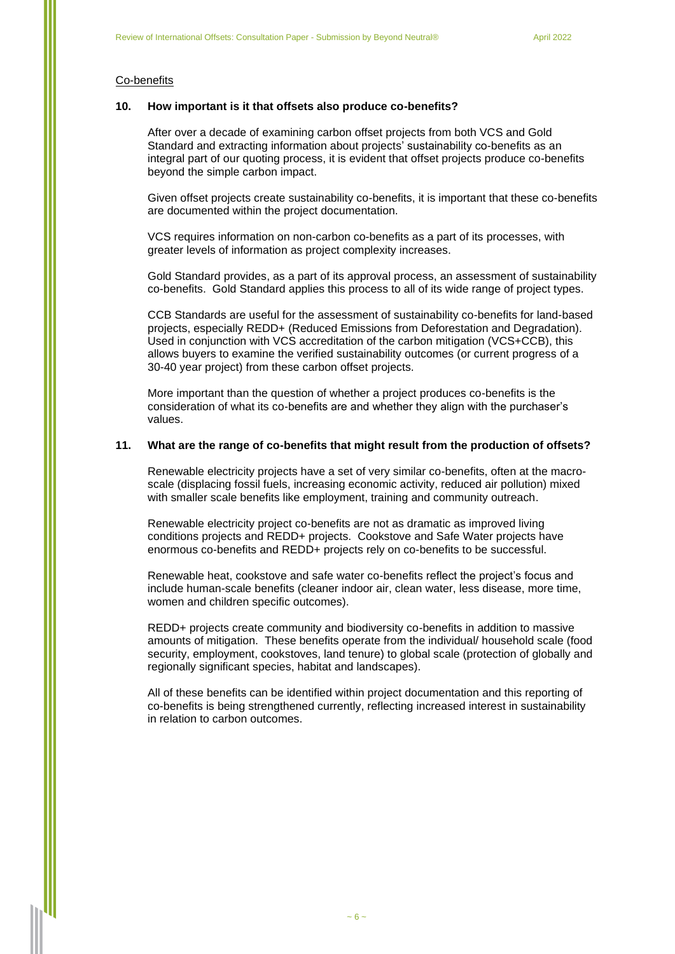### Co-benefits

### **10. How important is it that offsets also produce co-benefits?**

After over a decade of examining carbon offset projects from both VCS and Gold Standard and extracting information about projects' sustainability co-benefits as an integral part of our quoting process, it is evident that offset projects produce co-benefits beyond the simple carbon impact.

Given offset projects create sustainability co-benefits, it is important that these co-benefits are documented within the project documentation.

VCS requires information on non-carbon co-benefits as a part of its processes, with greater levels of information as project complexity increases.

Gold Standard provides, as a part of its approval process, an assessment of sustainability co-benefits. Gold Standard applies this process to all of its wide range of project types.

CCB Standards are useful for the assessment of sustainability co-benefits for land-based projects, especially REDD+ (Reduced Emissions from Deforestation and Degradation). Used in conjunction with VCS accreditation of the carbon mitigation (VCS+CCB), this allows buyers to examine the verified sustainability outcomes (or current progress of a 30-40 year project) from these carbon offset projects.

More important than the question of whether a project produces co-benefits is the consideration of what its co-benefits are and whether they align with the purchaser's values.

### **11. What are the range of co-benefits that might result from the production of offsets?**

Renewable electricity projects have a set of very similar co-benefits, often at the macroscale (displacing fossil fuels, increasing economic activity, reduced air pollution) mixed with smaller scale benefits like employment, training and community outreach.

Renewable electricity project co-benefits are not as dramatic as improved living conditions projects and REDD+ projects. Cookstove and Safe Water projects have enormous co-benefits and REDD+ projects rely on co-benefits to be successful.

Renewable heat, cookstove and safe water co-benefits reflect the project's focus and include human-scale benefits (cleaner indoor air, clean water, less disease, more time, women and children specific outcomes).

REDD+ projects create community and biodiversity co-benefits in addition to massive amounts of mitigation. These benefits operate from the individual/ household scale (food security, employment, cookstoves, land tenure) to global scale (protection of globally and regionally significant species, habitat and landscapes).

All of these benefits can be identified within project documentation and this reporting of co-benefits is being strengthened currently, reflecting increased interest in sustainability in relation to carbon outcomes.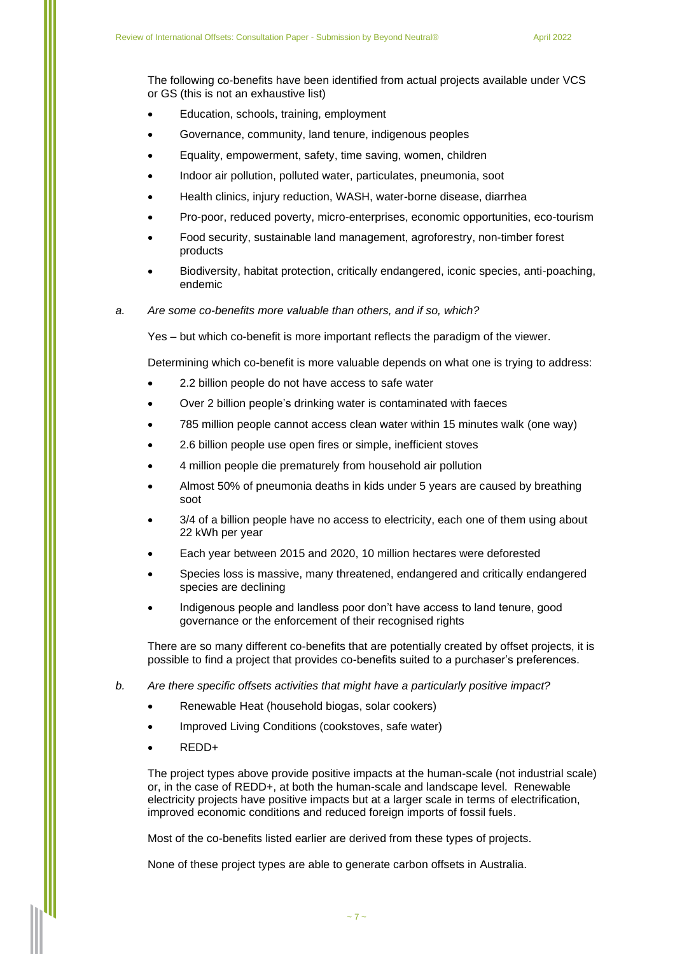The following co-benefits have been identified from actual projects available under VCS or GS (this is not an exhaustive list)

- Education, schools, training, employment
- Governance, community, land tenure, indigenous peoples
- Equality, empowerment, safety, time saving, women, children
- Indoor air pollution, polluted water, particulates, pneumonia, soot
- Health clinics, injury reduction, WASH, water-borne disease, diarrhea
- Pro-poor, reduced poverty, micro-enterprises, economic opportunities, eco-tourism
- Food security, sustainable land management, agroforestry, non-timber forest products
- Biodiversity, habitat protection, critically endangered, iconic species, anti-poaching, endemic
- *a. Are some co-benefits more valuable than others, and if so, which?*

Yes – but which co-benefit is more important reflects the paradigm of the viewer.

Determining which co-benefit is more valuable depends on what one is trying to address:

- 2.2 billion people do not have access to safe water
- Over 2 billion people's drinking water is contaminated with faeces
- 785 million people cannot access clean water within 15 minutes walk (one way)
- 2.6 billion people use open fires or simple, inefficient stoves
- 4 million people die prematurely from household air pollution
- Almost 50% of pneumonia deaths in kids under 5 years are caused by breathing soot
- 3/4 of a billion people have no access to electricity, each one of them using about 22 kWh per year
- Each year between 2015 and 2020, 10 million hectares were deforested
- Species loss is massive, many threatened, endangered and critically endangered species are declining
- Indigenous people and landless poor don't have access to land tenure, good governance or the enforcement of their recognised rights

There are so many different co-benefits that are potentially created by offset projects, it is possible to find a project that provides co-benefits suited to a purchaser's preferences.

- *b. Are there specific offsets activities that might have a particularly positive impact?*
	- Renewable Heat (household biogas, solar cookers)
	- Improved Living Conditions (cookstoves, safe water)
	- REDD+

The project types above provide positive impacts at the human-scale (not industrial scale) or, in the case of REDD+, at both the human-scale and landscape level. Renewable electricity projects have positive impacts but at a larger scale in terms of electrification, improved economic conditions and reduced foreign imports of fossil fuels.

Most of the co-benefits listed earlier are derived from these types of projects.

None of these project types are able to generate carbon offsets in Australia.